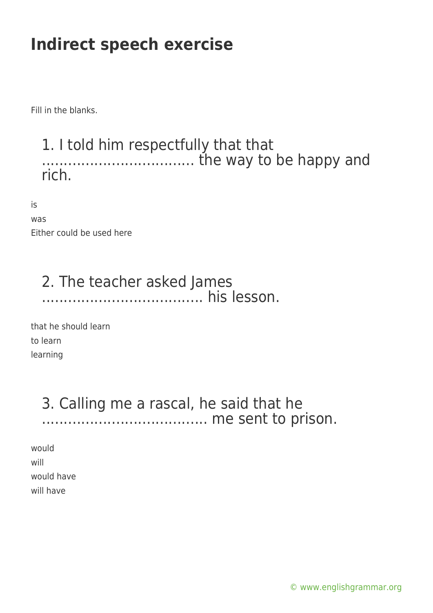Fill in the blanks.

#### 1. I told him respectfully that that ................................... the way to be happy and rich.

is

| was |                           |
|-----|---------------------------|
|     | Either could be used here |

#### 2. The teacher asked James ..................................... his lesson.

that he should learn to learn learning

#### 3. Calling me a rascal, he said that he ...................................... me sent to prison.

would will would have will have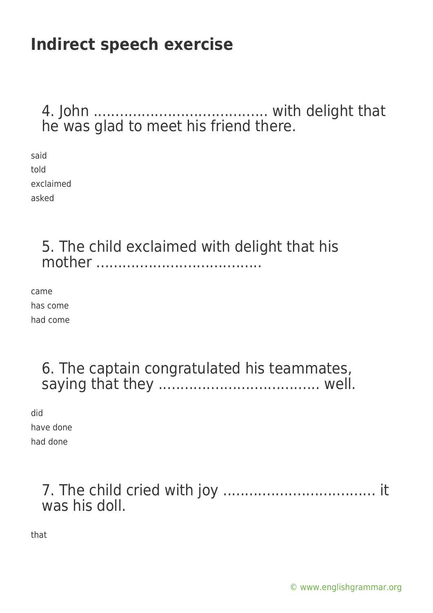### 4. John ........................................ with delight that he was glad to meet his friend there.

said told exclaimed asked

#### 5. The child exclaimed with delight that his mother ......................................

came has come had come

### 6. The captain congratulated his teammates, saying that they ..................................... well.

did have done had done

### 7. The child cried with joy ................................... it was his doll.

that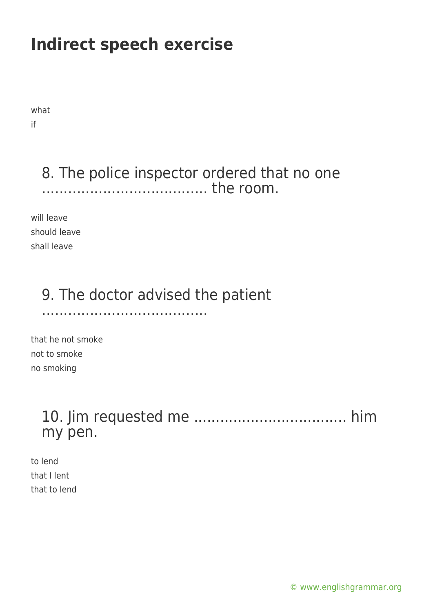what if

### 8. The police inspector ordered that no one ...................................... the room.

will leave should leave shall leave

### 9. The doctor advised the patient

......................................

that he not smoke not to smoke no smoking

### 10. Jim requested me ................................... him my pen.

to lend that I lent that to lend